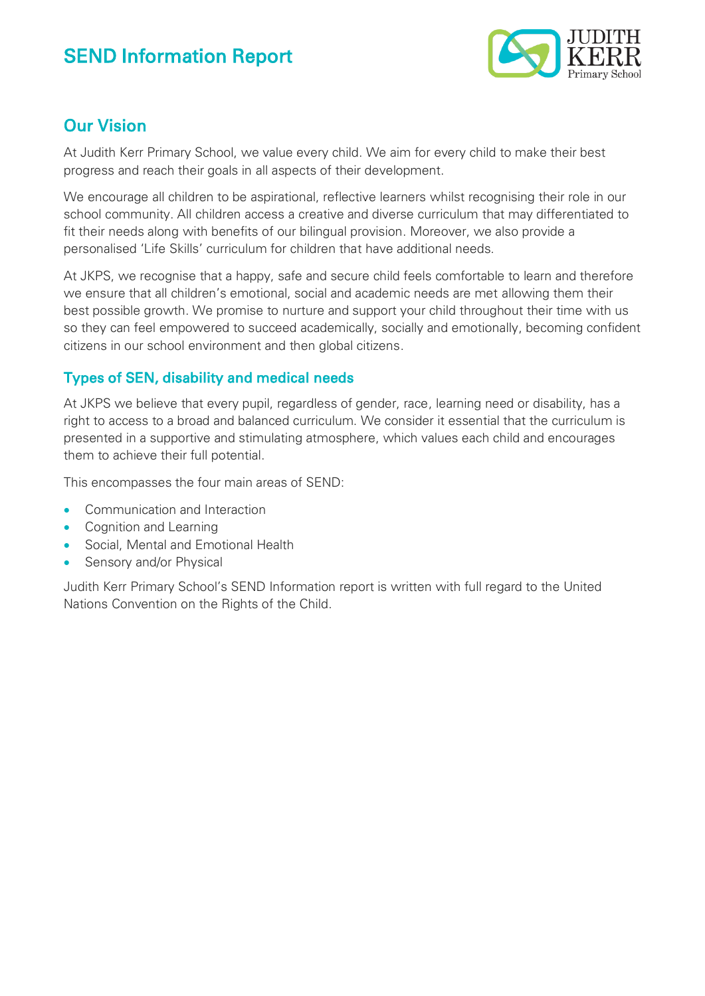

## Our Vision

At Judith Kerr Primary School, we value every child. We aim for every child to make their best progress and reach their goals in all aspects of their development.

We encourage all children to be aspirational, reflective learners whilst recognising their role in our school community. All children access a creative and diverse curriculum that may differentiated to fit their needs along with benefits of our bilingual provision. Moreover, we also provide a personalised 'Life Skills' curriculum for children that have additional needs.

At JKPS, we recognise that a happy, safe and secure child feels comfortable to learn and therefore we ensure that all children's emotional, social and academic needs are met allowing them their best possible growth. We promise to nurture and support your child throughout their time with us so they can feel empowered to succeed academically, socially and emotionally, becoming confident citizens in our school environment and then global citizens.

### Types of SEN, disability and medical needs

At JKPS we believe that every pupil, regardless of gender, race, learning need or disability, has a right to access to a broad and balanced curriculum. We consider it essential that the curriculum is presented in a supportive and stimulating atmosphere, which values each child and encourages them to achieve their full potential.

This encompasses the four main areas of SEND:

- Communication and Interaction
- Cognition and Learning
- Social, Mental and Emotional Health
- Sensory and/or Physical

Judith Kerr Primary School's SEND Information report is written with full regard to the United Nations Convention on the Rights of the Child.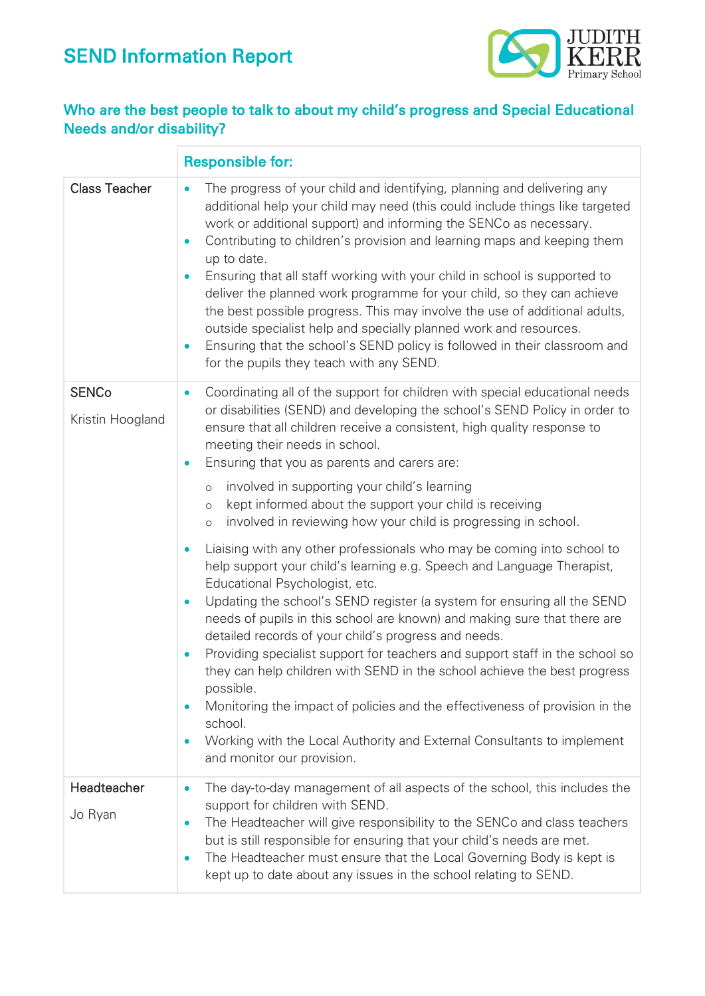

### Who are the best people to talk to about my child's progress and Special Educational Needs and/or disability?

|                        | <b>Responsible for:</b>                                                                                                                                                                                                                                                                                                                                                                                                                                                                                                                                                                                                                                                                                                                                                                                       |
|------------------------|---------------------------------------------------------------------------------------------------------------------------------------------------------------------------------------------------------------------------------------------------------------------------------------------------------------------------------------------------------------------------------------------------------------------------------------------------------------------------------------------------------------------------------------------------------------------------------------------------------------------------------------------------------------------------------------------------------------------------------------------------------------------------------------------------------------|
| <b>Class Teacher</b>   | The progress of your child and identifying, planning and delivering any<br>$\bullet$<br>additional help your child may need (this could include things like targeted<br>work or additional support) and informing the SENCo as necessary.<br>Contributing to children's provision and learning maps and keeping them<br>$\bullet$<br>up to date.<br>Ensuring that all staff working with your child in school is supported to<br>$\bullet$<br>deliver the planned work programme for your child, so they can achieve<br>the best possible progress. This may involve the use of additional adults,<br>outside specialist help and specially planned work and resources.<br>Ensuring that the school's SEND policy is followed in their classroom and<br>$\bullet$<br>for the pupils they teach with any SEND. |
| <b>SENCo</b>           | Coordinating all of the support for children with special educational needs<br>$\bullet$                                                                                                                                                                                                                                                                                                                                                                                                                                                                                                                                                                                                                                                                                                                      |
| Kristin Hoogland       | or disabilities (SEND) and developing the school's SEND Policy in order to<br>ensure that all children receive a consistent, high quality response to<br>meeting their needs in school.<br>Ensuring that you as parents and carers are:<br>$\bullet$                                                                                                                                                                                                                                                                                                                                                                                                                                                                                                                                                          |
|                        | involved in supporting your child's learning<br>$\circ$<br>kept informed about the support your child is receiving<br>$\circ$<br>involved in reviewing how your child is progressing in school.<br>$\circ$                                                                                                                                                                                                                                                                                                                                                                                                                                                                                                                                                                                                    |
|                        | Liaising with any other professionals who may be coming into school to<br>$\bullet$<br>help support your child's learning e.g. Speech and Language Therapist,<br>Educational Psychologist, etc.<br>Updating the school's SEND register (a system for ensuring all the SEND<br>$\bullet$<br>needs of pupils in this school are known) and making sure that there are<br>detailed records of your child's progress and needs.                                                                                                                                                                                                                                                                                                                                                                                   |
|                        | Providing specialist support for teachers and support staff in the school so<br>$\bullet$<br>they can help children with SEND in the school achieve the best progress<br>possible.                                                                                                                                                                                                                                                                                                                                                                                                                                                                                                                                                                                                                            |
|                        | Monitoring the impact of policies and the effectiveness of provision in the<br>$\bullet$<br>school.<br>Working with the Local Authority and External Consultants to implement<br>$\bullet$<br>and monitor our provision.                                                                                                                                                                                                                                                                                                                                                                                                                                                                                                                                                                                      |
| Headteacher<br>Jo Ryan | The day-to-day management of all aspects of the school, this includes the<br>$\bullet$<br>support for children with SEND.<br>The Headteacher will give responsibility to the SENCo and class teachers<br>$\bullet$<br>but is still responsible for ensuring that your child's needs are met.<br>The Headteacher must ensure that the Local Governing Body is kept is<br>$\bullet$<br>kept up to date about any issues in the school relating to SEND.                                                                                                                                                                                                                                                                                                                                                         |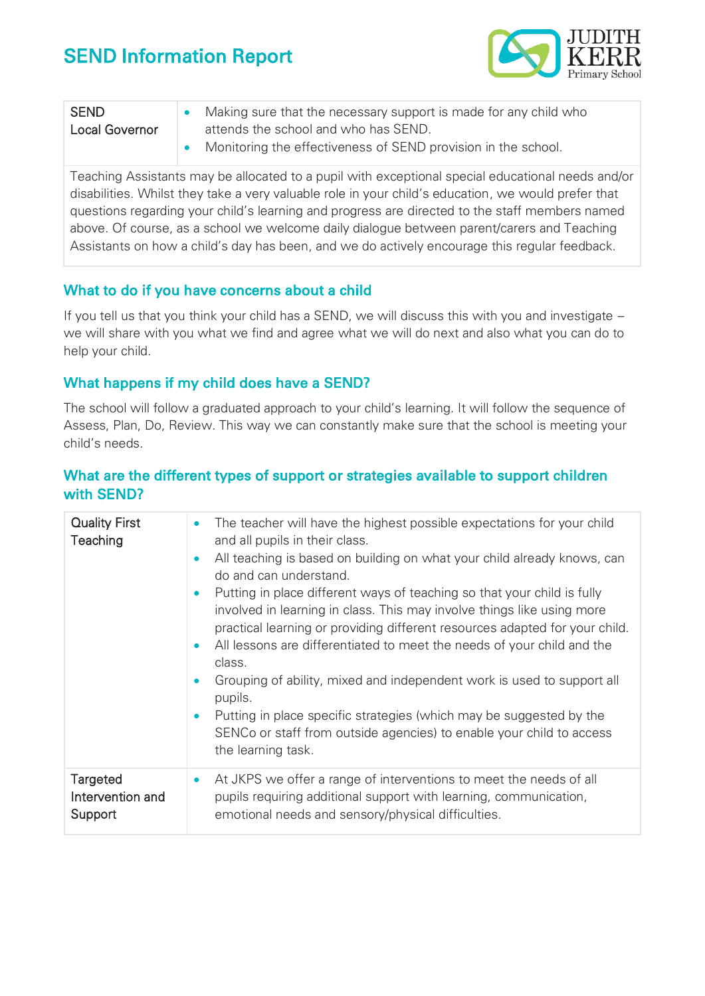

| <b>SEND</b>           | Making sure that the necessary support is made for any child who |
|-----------------------|------------------------------------------------------------------|
| <b>Local Governor</b> | attends the school and who has SEND.                             |
|                       | Monitoring the effectiveness of SEND provision in the school.    |

Teaching Assistants may be allocated to a pupil with exceptional special educational needs and/or disabilities. Whilst they take a very valuable role in your child's education, we would prefer that questions regarding your child's learning and progress are directed to the staff members named above. Of course, as a school we welcome daily dialogue between parent/carers and Teaching Assistants on how a child's day has been, and we do actively encourage this regular feedback.

#### What to do if you have concerns about a child

If you tell us that you think your child has a SEND, we will discuss this with you and investigate – we will share with you what we find and agree what we will do next and also what you can do to help your child.

#### What happens if my child does have a SEND?

The school will follow a graduated approach to your child's learning. It will follow the sequence of Assess, Plan, Do, Review. This way we can constantly make sure that the school is meeting your child's needs.

#### What are the different types of support or strategies available to support children with SEND?

| <b>Quality First</b><br>Teaching               | The teacher will have the highest possible expectations for your child<br>$\bullet$                                                                                                                                                                                                                                                                                                                                                                                                                                                                                                       |
|------------------------------------------------|-------------------------------------------------------------------------------------------------------------------------------------------------------------------------------------------------------------------------------------------------------------------------------------------------------------------------------------------------------------------------------------------------------------------------------------------------------------------------------------------------------------------------------------------------------------------------------------------|
|                                                | and all pupils in their class.<br>All teaching is based on building on what your child already knows, can<br>$\bullet$<br>do and can understand.<br>Putting in place different ways of teaching so that your child is fully<br>$\bullet$<br>involved in learning in class. This may involve things like using more<br>practical learning or providing different resources adapted for your child.<br>All lessons are differentiated to meet the needs of your child and the<br>$\bullet$<br>class.<br>Grouping of ability, mixed and independent work is used to support all<br>$\bullet$ |
|                                                | pupils.<br>Putting in place specific strategies (which may be suggested by the<br>$\bullet$<br>SENCo or staff from outside agencies) to enable your child to access<br>the learning task.                                                                                                                                                                                                                                                                                                                                                                                                 |
| <b>Targeted</b><br>Intervention and<br>Support | At JKPS we offer a range of interventions to meet the needs of all<br>$\bullet$<br>pupils requiring additional support with learning, communication,<br>emotional needs and sensory/physical difficulties.                                                                                                                                                                                                                                                                                                                                                                                |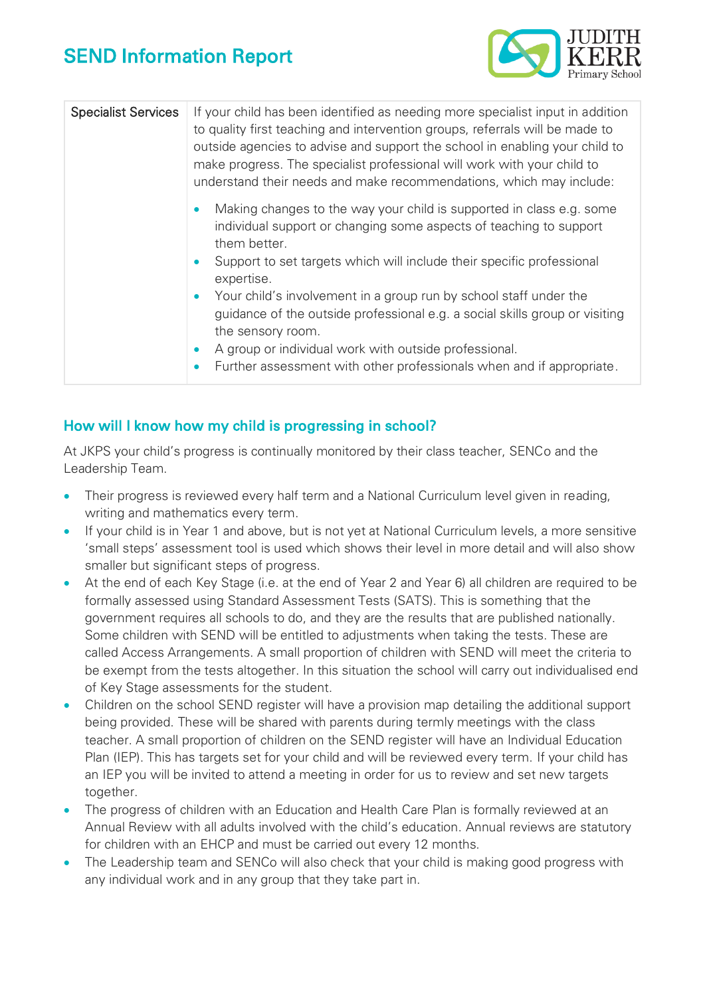

| <b>Specialist Services</b> | If your child has been identified as needing more specialist input in addition<br>to quality first teaching and intervention groups, referrals will be made to<br>outside agencies to advise and support the school in enabling your child to<br>make progress. The specialist professional will work with your child to<br>understand their needs and make recommendations, which may include: |
|----------------------------|-------------------------------------------------------------------------------------------------------------------------------------------------------------------------------------------------------------------------------------------------------------------------------------------------------------------------------------------------------------------------------------------------|
|                            | Making changes to the way your child is supported in class e.g. some<br>$\bullet$<br>individual support or changing some aspects of teaching to support<br>them better.<br>Support to set targets which will include their specific professional<br>$\bullet$<br>expertise.                                                                                                                     |
|                            | Your child's involvement in a group run by school staff under the<br>$\bullet$<br>guidance of the outside professional e.g. a social skills group or visiting<br>the sensory room.<br>A group or individual work with outside professional.<br>$\bullet$<br>Further assessment with other professionals when and if appropriate.<br>$\bullet$                                                   |

### How will I know how my child is progressing in school?

At JKPS your child's progress is continually monitored by their class teacher, SENCo and the Leadership Team.

- Their progress is reviewed every half term and a National Curriculum level given in reading, writing and mathematics every term.
- If your child is in Year 1 and above, but is not yet at National Curriculum levels, a more sensitive 'small steps' assessment tool is used which shows their level in more detail and will also show smaller but significant steps of progress.
- At the end of each Key Stage (i.e. at the end of Year 2 and Year 6) all children are required to be formally assessed using Standard Assessment Tests (SATS). This is something that the government requires all schools to do, and they are the results that are published nationally. Some children with SEND will be entitled to adjustments when taking the tests. These are called Access Arrangements. A small proportion of children with SEND will meet the criteria to be exempt from the tests altogether. In this situation the school will carry out individualised end of Key Stage assessments for the student.
- Children on the school SEND register will have a provision map detailing the additional support being provided. These will be shared with parents during termly meetings with the class teacher. A small proportion of children on the SEND register will have an Individual Education Plan (IEP). This has targets set for your child and will be reviewed every term. If your child has an IEP you will be invited to attend a meeting in order for us to review and set new targets together.
- The progress of children with an Education and Health Care Plan is formally reviewed at an Annual Review with all adults involved with the child's education. Annual reviews are statutory for children with an EHCP and must be carried out every 12 months.
- The Leadership team and SENCo will also check that your child is making good progress with any individual work and in any group that they take part in.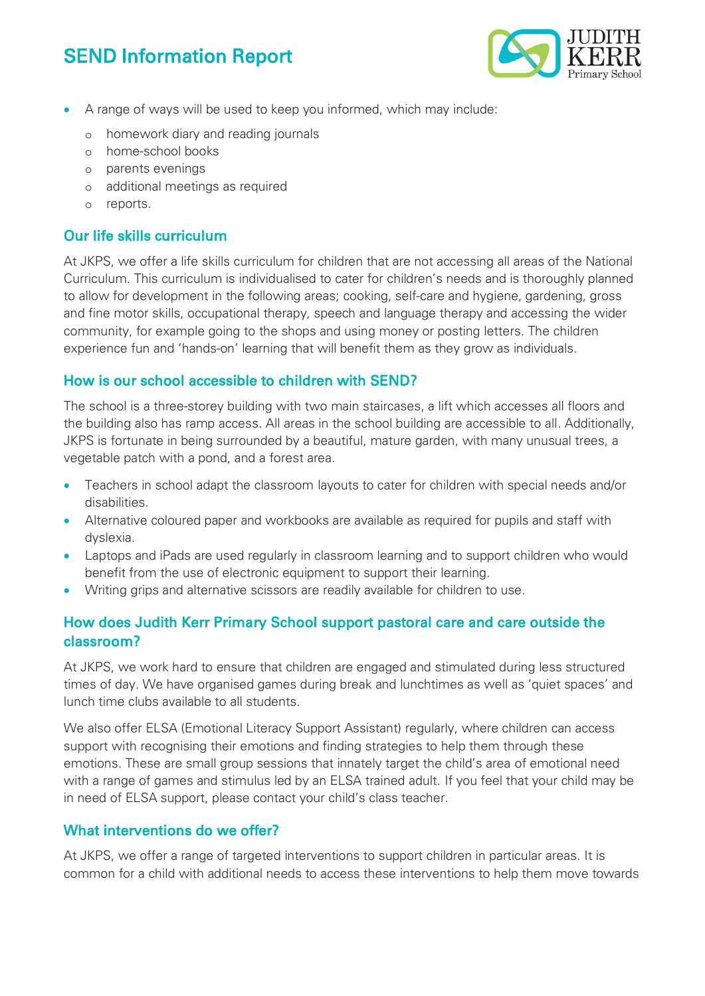

- A range of ways will be used to keep you informed, which may include:
	- o homework diary and reading journals
	- o home-school books
	- o parents evenings
	- o additional meetings as required
	- o reports.

### Our life skills curriculum

At JKPS, we offer a life skills curriculum for children that are not accessing all areas of the National Curriculum. This curriculum is individualised to cater for children's needs and is thoroughly planned to allow for development in the following areas; cooking, self-care and hygiene, gardening, gross and fine motor skills, occupational therapy, speech and language therapy and accessing the wider community, for example going to the shops and using money or posting letters. The children experience fun and 'hands-on' learning that will benefit them as they grow as individuals.

### How is our school accessible to children with SEND?

The school is a three-storey building with two main staircases, a lift which accesses all floors and the building also has ramp access. All areas in the school building are accessible to all. Additionally, JKPS is fortunate in being surrounded by a beautiful, mature garden, with many unusual trees, a vegetable patch with a pond, and a forest area.

- Teachers in school adapt the classroom layouts to cater for children with special needs and/or disabilities.
- Alternative coloured paper and workbooks are available as required for pupils and staff with dyslexia.
- Laptops and iPads are used regularly in classroom learning and to support children who would benefit from the use of electronic equipment to support their learning.
- Writing grips and alternative scissors are readily available for children to use.

### How does Judith Kerr Primary School support pastoral care and care outside the classroom?

At JKPS, we work hard to ensure that children are engaged and stimulated during less structured times of day. We have organised games during break and lunchtimes as well as 'quiet spaces' and lunch time clubs available to all students.

We also offer ELSA (Emotional Literacy Support Assistant) regularly, where children can access support with recognising their emotions and finding strategies to help them through these emotions. These are small group sessions that innately target the child's area of emotional need with a range of games and stimulus led by an ELSA trained adult. If you feel that your child may be in need of ELSA support, please contact your child's class teacher.

### What interventions do we offer?

At JKPS, we offer a range of targeted interventions to support children in particular areas. It is common for a child with additional needs to access these interventions to help them move towards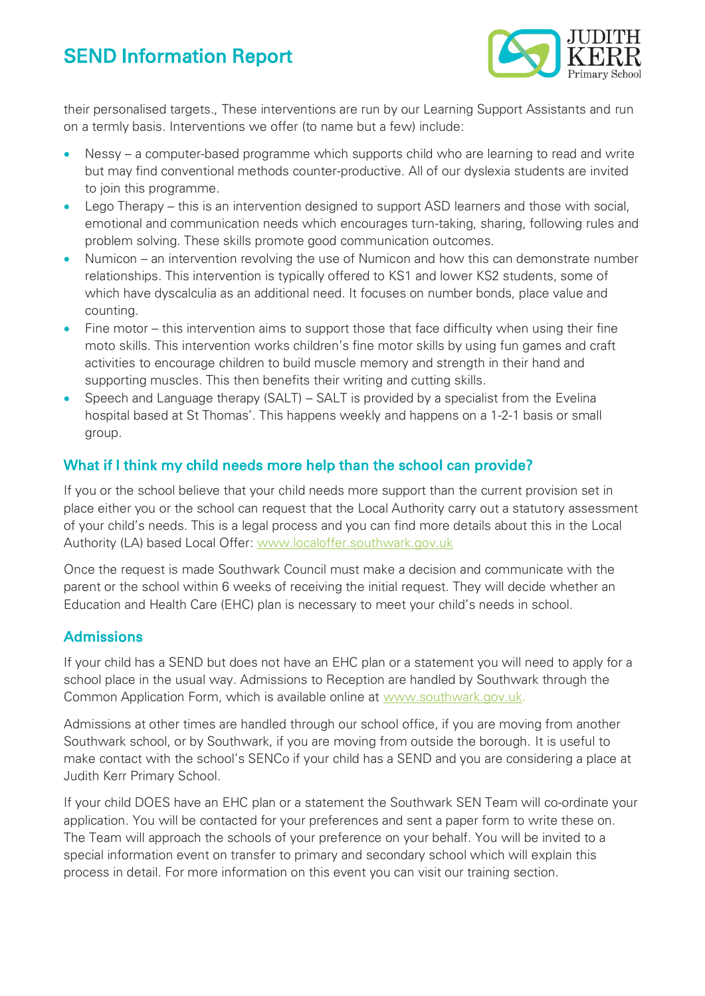

their personalised targets., These interventions are run by our Learning Support Assistants and run on a termly basis. Interventions we offer (to name but a few) include:

- Nessy a computer-based programme which supports child who are learning to read and write but may find conventional methods counter-productive. All of our dyslexia students are invited to join this programme.
- Lego Therapy this is an intervention designed to support ASD learners and those with social, emotional and communication needs which encourages turn-taking, sharing, following rules and problem solving. These skills promote good communication outcomes.
- Numicon an intervention revolving the use of Numicon and how this can demonstrate number relationships. This intervention is typically offered to KS1 and lower KS2 students, some of which have dyscalculia as an additional need. It focuses on number bonds, place value and counting.
- Fine motor this intervention aims to support those that face difficulty when using their fine moto skills. This intervention works children's fine motor skills by using fun games and craft activities to encourage children to build muscle memory and strength in their hand and supporting muscles. This then benefits their writing and cutting skills.
- Speech and Language therapy (SALT) SALT is provided by a specialist from the Evelina hospital based at St Thomas'. This happens weekly and happens on a 1-2-1 basis or small group.

### What if I think my child needs more help than the school can provide?

If you or the school believe that your child needs more support than the current provision set in place either you or the school can request that the Local Authority carry out a statutory assessment of your child's needs. This is a legal process and you can find more details about this in the Local Authority (LA) based Local Offer: [www.localoffer.southwark.gov.uk](http://www.localoffer.southwark.gov.uk/)

Once the request is made Southwark Council must make a decision and communicate with the parent or the school within 6 weeks of receiving the initial request. They will decide whether an Education and Health Care (EHC) plan is necessary to meet your child's needs in school.

#### **Admissions**

If your child has a SEND but does not have an EHC plan or a statement you will need to apply for a school place in the usual way. Admissions to Reception are handled by Southwark through the Common Application Form, which is available online at [www.southwark.gov.uk.](http://www.southwark.gov.uk/)

Admissions at other times are handled through our school office, if you are moving from another Southwark school, or by Southwark, if you are moving from outside the borough. It is useful to make contact with the school's SENCo if your child has a SEND and you are considering a place at Judith Kerr Primary School.

If your child DOES have an EHC plan or a statement the Southwark SEN Team will co-ordinate your application. You will be contacted for your preferences and sent a paper form to write these on. The Team will approach the schools of your preference on your behalf. You will be invited to a special information event on transfer to primary and secondary school which will explain this process in detail. For more information on this event you can visit our training section.